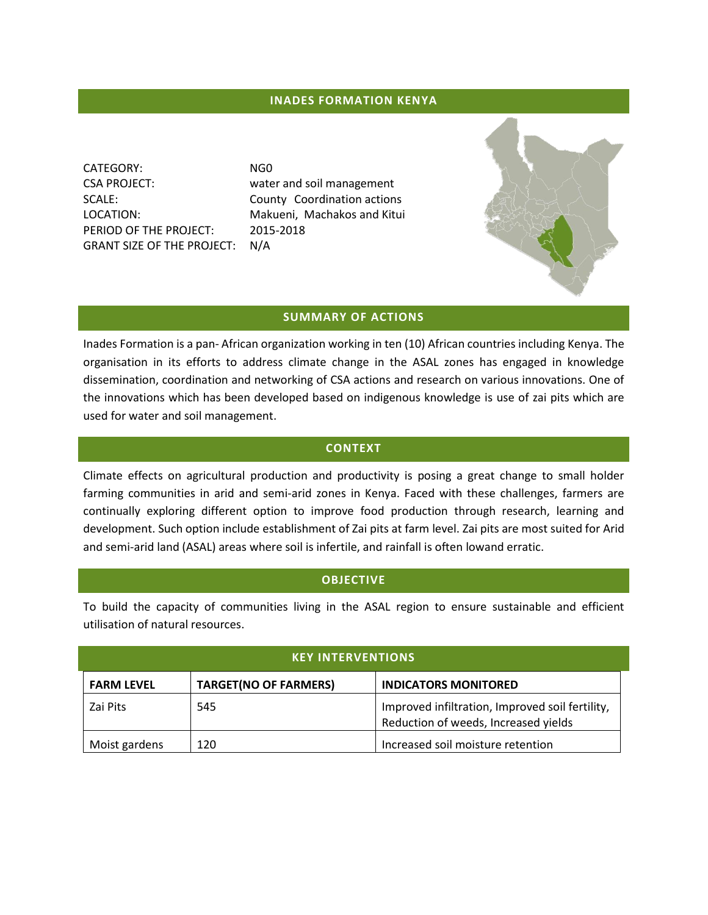## **INADES FORMATION KENYA**

CATEGORY: NG0 CSA PROJECT: water and soil management PERIOD OF THE PROJECT: 2015-2018 GRANT SIZE OF THE PROJECT: N/A

SCALE: County Coordination actions LOCATION: Makueni, Machakos and Kitui

### **SUMMARY OF ACTIONS**

Inades Formation is a pan- African organization working in ten (10) African countries including Kenya. The organisation in its efforts to address climate change in the ASAL zones has engaged in knowledge dissemination, coordination and networking of CSA actions and research on various innovations. One of the innovations which has been developed based on indigenous knowledge is use of zai pits which are used for water and soil management.

#### **CONTEXT**

Climate effects on agricultural production and productivity is posing a great change to small holder farming communities in arid and semi-arid zones in Kenya. Faced with these challenges, farmers are continually exploring different option to improve food production through research, learning and development. Such option include establishment of Zai pits at farm level. Zai pits are most suited for Arid and semi-arid land (ASAL) areas where soil is infertile, and rainfall is often lowand erratic.

## **OBJECTIVE**

To build the capacity of communities living in the ASAL region to ensure sustainable and efficient utilisation of natural resources.

| <b>KEY INTERVENTIONS</b> |                              |                                                                                         |  |  |
|--------------------------|------------------------------|-----------------------------------------------------------------------------------------|--|--|
| <b>FARM LEVEL</b>        | <b>TARGET(NO OF FARMERS)</b> | <b>INDICATORS MONITORED</b>                                                             |  |  |
| Zai Pits                 | 545                          | Improved infiltration, Improved soil fertility,<br>Reduction of weeds, Increased yields |  |  |
| Moist gardens            | 120                          | Increased soil moisture retention                                                       |  |  |